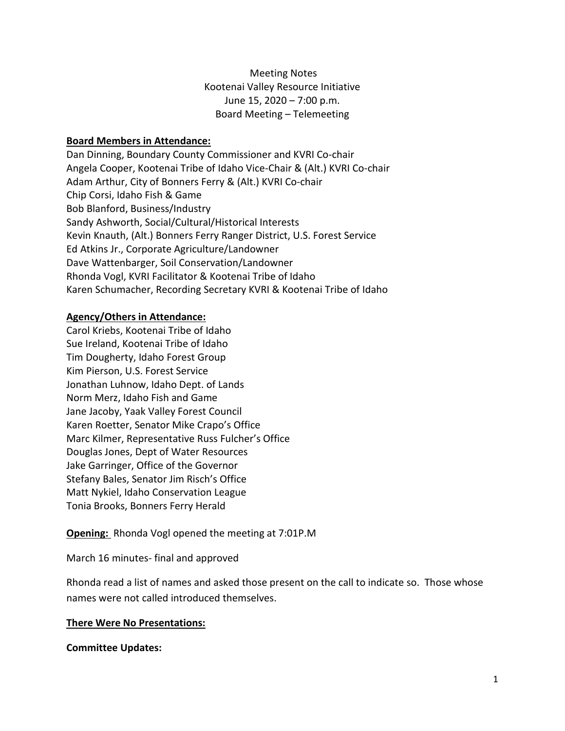Meeting Notes Kootenai Valley Resource Initiative June 15, 2020 – 7:00 p.m. Board Meeting – Telemeeting

## **Board Members in Attendance:**

Dan Dinning, Boundary County Commissioner and KVRI Co-chair Angela Cooper, Kootenai Tribe of Idaho Vice-Chair & (Alt.) KVRI Co-chair Adam Arthur, City of Bonners Ferry & (Alt.) KVRI Co-chair Chip Corsi, Idaho Fish & Game Bob Blanford, Business/Industry Sandy Ashworth, Social/Cultural/Historical Interests Kevin Knauth, (Alt.) Bonners Ferry Ranger District, U.S. Forest Service Ed Atkins Jr., Corporate Agriculture/Landowner Dave Wattenbarger, Soil Conservation/Landowner Rhonda Vogl, KVRI Facilitator & Kootenai Tribe of Idaho Karen Schumacher, Recording Secretary KVRI & Kootenai Tribe of Idaho

## **Agency/Others in Attendance:**

Carol Kriebs, Kootenai Tribe of Idaho Sue Ireland, Kootenai Tribe of Idaho Tim Dougherty, Idaho Forest Group Kim Pierson, U.S. Forest Service Jonathan Luhnow, Idaho Dept. of Lands Norm Merz, Idaho Fish and Game Jane Jacoby, Yaak Valley Forest Council Karen Roetter, Senator Mike Crapo's Office Marc Kilmer, Representative Russ Fulcher's Office Douglas Jones, Dept of Water Resources Jake Garringer, Office of the Governor Stefany Bales, Senator Jim Risch's Office Matt Nykiel, Idaho Conservation League Tonia Brooks, Bonners Ferry Herald

**Opening:** Rhonda Vogl opened the meeting at 7:01P.M

March 16 minutes- final and approved

Rhonda read a list of names and asked those present on the call to indicate so. Those whose names were not called introduced themselves.

#### **There Were No Presentations:**

#### **Committee Updates:**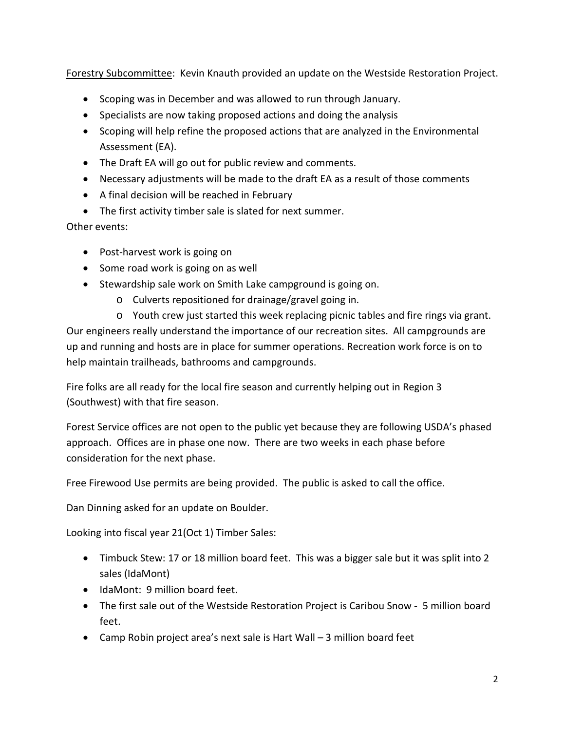Forestry Subcommittee: Kevin Knauth provided an update on the Westside Restoration Project.

- Scoping was in December and was allowed to run through January.
- Specialists are now taking proposed actions and doing the analysis
- Scoping will help refine the proposed actions that are analyzed in the Environmental Assessment (EA).
- The Draft EA will go out for public review and comments.
- Necessary adjustments will be made to the draft EA as a result of those comments
- A final decision will be reached in February
- The first activity timber sale is slated for next summer.

Other events:

- Post-harvest work is going on
- Some road work is going on as well
- Stewardship sale work on Smith Lake campground is going on.
	- o Culverts repositioned for drainage/gravel going in.

o Youth crew just started this week replacing picnic tables and fire rings via grant. Our engineers really understand the importance of our recreation sites. All campgrounds are up and running and hosts are in place for summer operations. Recreation work force is on to help maintain trailheads, bathrooms and campgrounds.

Fire folks are all ready for the local fire season and currently helping out in Region 3 (Southwest) with that fire season.

Forest Service offices are not open to the public yet because they are following USDA's phased approach. Offices are in phase one now. There are two weeks in each phase before consideration for the next phase.

Free Firewood Use permits are being provided. The public is asked to call the office.

Dan Dinning asked for an update on Boulder.

Looking into fiscal year 21(Oct 1) Timber Sales:

- Timbuck Stew: 17 or 18 million board feet. This was a bigger sale but it was split into 2 sales (IdaMont)
- IdaMont: 9 million board feet.
- The first sale out of the Westside Restoration Project is Caribou Snow 5 million board feet.
- Camp Robin project area's next sale is Hart Wall 3 million board feet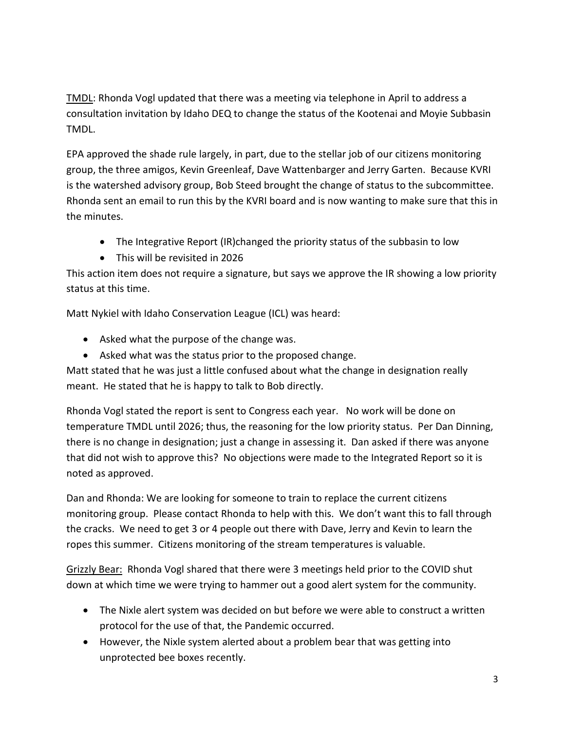TMDL: Rhonda Vogl updated that there was a meeting via telephone in April to address a consultation invitation by Idaho DEQ to change the status of the Kootenai and Moyie Subbasin TMDL.

EPA approved the shade rule largely, in part, due to the stellar job of our citizens monitoring group, the three amigos, Kevin Greenleaf, Dave Wattenbarger and Jerry Garten. Because KVRI is the watershed advisory group, Bob Steed brought the change of status to the subcommittee. Rhonda sent an email to run this by the KVRI board and is now wanting to make sure that this in the minutes.

- The Integrative Report (IR)changed the priority status of the subbasin to low
- This will be revisited in 2026

This action item does not require a signature, but says we approve the IR showing a low priority status at this time.

Matt Nykiel with Idaho Conservation League (ICL) was heard:

- Asked what the purpose of the change was.
- Asked what was the status prior to the proposed change.

Matt stated that he was just a little confused about what the change in designation really meant. He stated that he is happy to talk to Bob directly.

Rhonda Vogl stated the report is sent to Congress each year. No work will be done on temperature TMDL until 2026; thus, the reasoning for the low priority status. Per Dan Dinning, there is no change in designation; just a change in assessing it. Dan asked if there was anyone that did not wish to approve this? No objections were made to the Integrated Report so it is noted as approved.

Dan and Rhonda: We are looking for someone to train to replace the current citizens monitoring group. Please contact Rhonda to help with this. We don't want this to fall through the cracks. We need to get 3 or 4 people out there with Dave, Jerry and Kevin to learn the ropes this summer. Citizens monitoring of the stream temperatures is valuable.

Grizzly Bear: Rhonda Vogl shared that there were 3 meetings held prior to the COVID shut down at which time we were trying to hammer out a good alert system for the community.

- The Nixle alert system was decided on but before we were able to construct a written protocol for the use of that, the Pandemic occurred.
- However, the Nixle system alerted about a problem bear that was getting into unprotected bee boxes recently.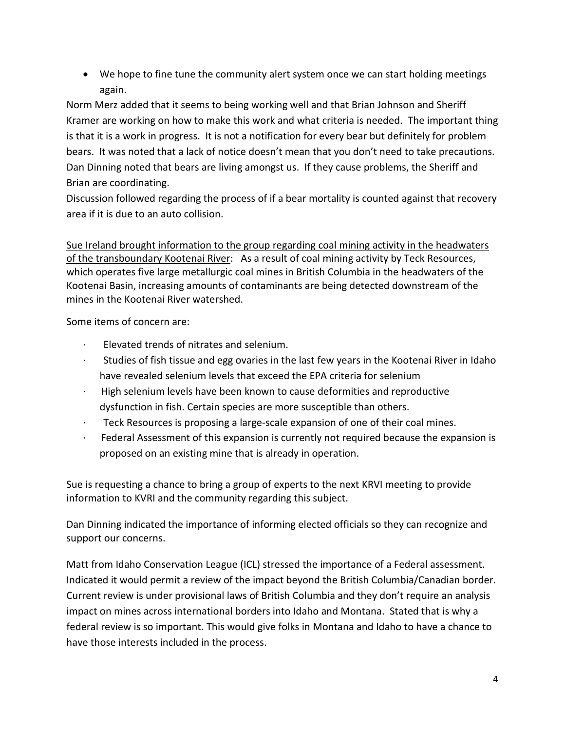• We hope to fine tune the community alert system once we can start holding meetings again.

Norm Merz added that it seems to being working well and that Brian Johnson and Sheriff Kramer are working on how to make this work and what criteria is needed. The important thing is that it is a work in progress. It is not a notification for every bear but definitely for problem bears. It was noted that a lack of notice doesn't mean that you don't need to take precautions. Dan Dinning noted that bears are living amongst us. If they cause problems, the Sheriff and Brian are coordinating.

Discussion followed regarding the process of if a bear mortality is counted against that recovery area if it is due to an auto collision.

Sue Ireland brought information to the group regarding coal mining activity in the headwaters of the transboundary Kootenai River: As a result of coal mining activity by Teck Resources, which operates five large metallurgic coal mines in British Columbia in the headwaters of the Kootenai Basin, increasing amounts of contaminants are being detected downstream of the mines in the Kootenai River watershed.

Some items of concern are:

- Elevated trends of nitrates and selenium.
- · Studies of fish tissue and egg ovaries in the last few years in the Kootenai River in Idaho have revealed selenium levels that exceed the EPA criteria for selenium
- · High selenium levels have been known to cause deformities and reproductive dysfunction in fish. Certain species are more susceptible than others.
- · Teck Resources is proposing a large-scale expansion of one of their coal mines.
- · Federal Assessment of this expansion is currently not required because the expansion is proposed on an existing mine that is already in operation.

Sue is requesting a chance to bring a group of experts to the next KRVI meeting to provide information to KVRI and the community regarding this subject.

Dan Dinning indicated the importance of informing elected officials so they can recognize and support our concerns.

Matt from Idaho Conservation League (ICL) stressed the importance of a Federal assessment. Indicated it would permit a review of the impact beyond the British Columbia/Canadian border. Current review is under provisional laws of British Columbia and they don't require an analysis impact on mines across international borders into Idaho and Montana. Stated that is why a federal review is so important. This would give folks in Montana and Idaho to have a chance to have those interests included in the process.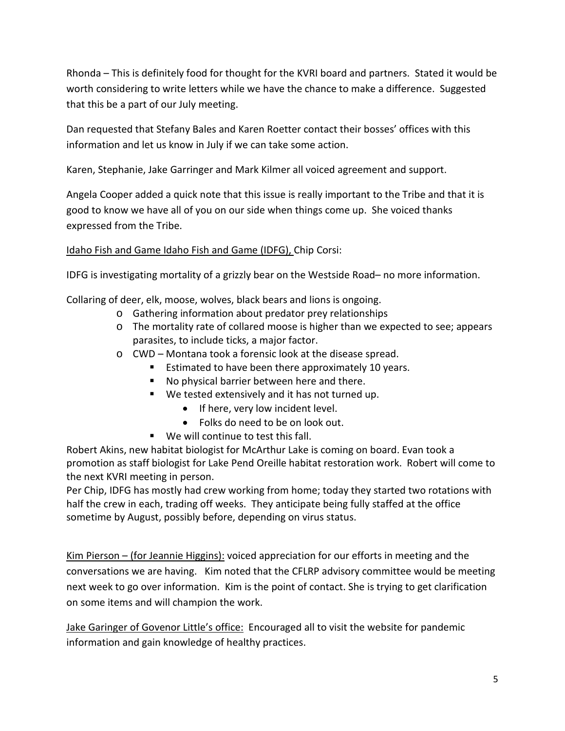Rhonda – This is definitely food for thought for the KVRI board and partners. Stated it would be worth considering to write letters while we have the chance to make a difference. Suggested that this be a part of our July meeting.

Dan requested that Stefany Bales and Karen Roetter contact their bosses' offices with this information and let us know in July if we can take some action.

Karen, Stephanie, Jake Garringer and Mark Kilmer all voiced agreement and support.

Angela Cooper added a quick note that this issue is really important to the Tribe and that it is good to know we have all of you on our side when things come up. She voiced thanks expressed from the Tribe.

# Idaho Fish and Game Idaho Fish and Game (IDFG), Chip Corsi:

IDFG is investigating mortality of a grizzly bear on the Westside Road– no more information.

Collaring of deer, elk, moose, wolves, black bears and lions is ongoing.

- o Gathering information about predator prey relationships
- o The mortality rate of collared moose is higher than we expected to see; appears parasites, to include ticks, a major factor.
- o CWD Montana took a forensic look at the disease spread.
	- **Extimated to have been there approximately 10 years.**
	- No physical barrier between here and there.
	- We tested extensively and it has not turned up.
		- If here, very low incident level.
		- Folks do need to be on look out.
	- We will continue to test this fall.

Robert Akins, new habitat biologist for McArthur Lake is coming on board. Evan took a promotion as staff biologist for Lake Pend Oreille habitat restoration work. Robert will come to the next KVRI meeting in person.

Per Chip, IDFG has mostly had crew working from home; today they started two rotations with half the crew in each, trading off weeks. They anticipate being fully staffed at the office sometime by August, possibly before, depending on virus status.

Kim Pierson – (for Jeannie Higgins): voiced appreciation for our efforts in meeting and the conversations we are having. Kim noted that the CFLRP advisory committee would be meeting next week to go over information. Kim is the point of contact. She is trying to get clarification on some items and will champion the work.

Jake Garinger of Govenor Little's office: Encouraged all to visit the website for pandemic information and gain knowledge of healthy practices.